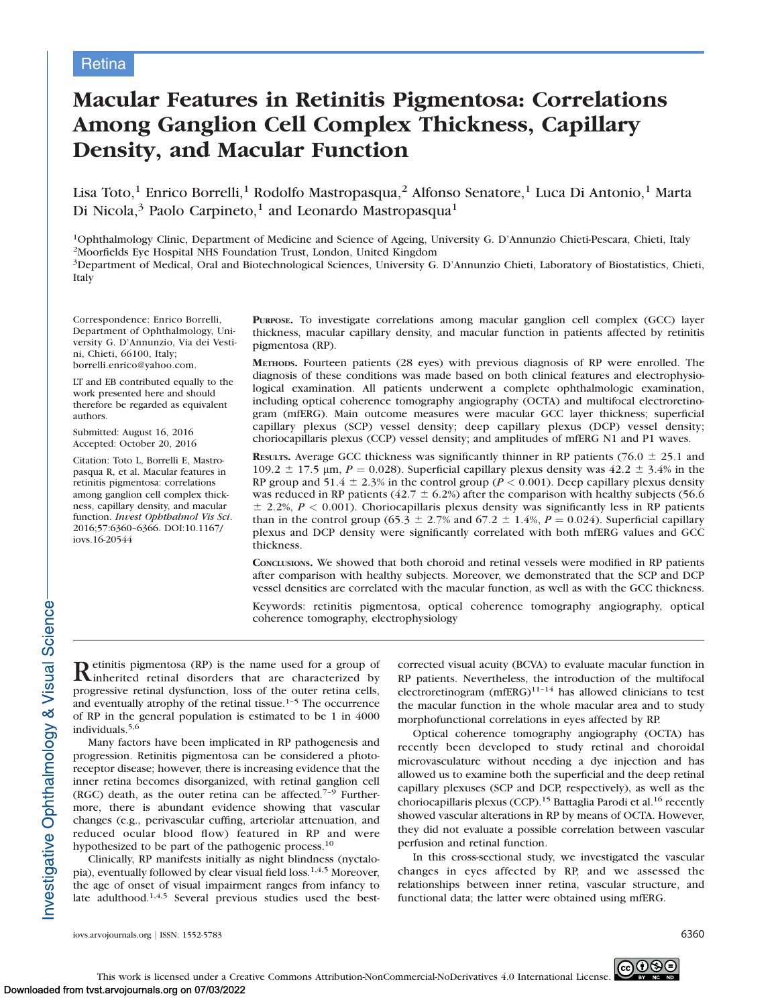# Macular Features in Retinitis Pigmentosa: Correlations Among Ganglion Cell Complex Thickness, Capillary Density, and Macular Function

Lisa Toto,<sup>1</sup> Enrico Borrelli,<sup>1</sup> Rodolfo Mastropasqua,<sup>2</sup> Alfonso Senatore,<sup>1</sup> Luca Di Antonio,<sup>1</sup> Marta Di Nicola,<sup>3</sup> Paolo Carpineto,<sup>1</sup> and Leonardo Mastropasqua<sup>1</sup>

1Ophthalmology Clinic, Department of Medicine and Science of Ageing, University G. D'Annunzio Chieti-Pescara, Chieti, Italy 2Moorfields Eye Hospital NHS Foundation Trust, London, United Kingdom 3Department of Medical, Oral and Biotechnological Sciences, University G. D'Annunzio Chieti, Laboratory of Biostatistics, Chieti, Italy

Correspondence: Enrico Borrelli, Department of Ophthalmology, University G. D'Annunzio, Via dei Vestini, Chieti, 66100, Italy; borrelli.enrico@yahoo.com.

LT and EB contributed equally to the work presented here and should therefore be regarded as equivalent authors.

Submitted: August 16, 2016 Accepted: October 20, 2016

Citation: Toto L, Borrelli E, Mastropasqua R, et al. Macular features in retinitis pigmentosa: correlations among ganglion cell complex thickness, capillary density, and macular function. Invest Ophthalmol Vis Sci. 2016;57:6360–6366. DOI:10.1167/ iovs.16-20544

PURPOSE. To investigate correlations among macular ganglion cell complex (GCC) layer thickness, macular capillary density, and macular function in patients affected by retinitis pigmentosa (RP).

METHODS. Fourteen patients (28 eyes) with previous diagnosis of RP were enrolled. The diagnosis of these conditions was made based on both clinical features and electrophysiological examination. All patients underwent a complete ophthalmologic examination, including optical coherence tomography angiography (OCTA) and multifocal electroretinogram (mfERG). Main outcome measures were macular GCC layer thickness; superficial capillary plexus (SCP) vessel density; deep capillary plexus (DCP) vessel density; choriocapillaris plexus (CCP) vessel density; and amplitudes of mfERG N1 and P1 waves.

RESULTS. Average GCC thickness was significantly thinner in RP patients (76.0  $\pm$  25.1 and 109.2  $\pm$  17.5 µm, P = 0.028). Superficial capillary plexus density was 42.2  $\pm$  3.4% in the RP group and 51.4  $\pm$  2.3% in the control group (P < 0.001). Deep capillary plexus density was reduced in RP patients (42.7  $\pm$  6.2%) after the comparison with healthy subjects (56.6)  $\pm$  2.2%,  $P < 0.001$ ). Choriocapillaris plexus density was significantly less in RP patients than in the control group (65.3  $\pm$  2.7% and 67.2  $\pm$  1.4%,  $P = 0.024$ ). Superficial capillary plexus and DCP density were significantly correlated with both mfERG values and GCC thickness.

CONCLUSIONS. We showed that both choroid and retinal vessels were modified in RP patients after comparison with healthy subjects. Moreover, we demonstrated that the SCP and DCP vessel densities are correlated with the macular function, as well as with the GCC thickness.

Keywords: retinitis pigmentosa, optical coherence tomography angiography, optical coherence tomography, electrophysiology

Retinitis pigmentosa (RP) is the name used for a group of inherited retinal disorders that are characterized by progressive retinal dysfunction, loss of the outer retina cells, and eventually atrophy of the retinal tissue. $1-5$  The occurrence of RP in the general population is estimated to be 1 in 4000 individuals.5,6

Many factors have been implicated in RP pathogenesis and progression. Retinitis pigmentosa can be considered a photoreceptor disease; however, there is increasing evidence that the inner retina becomes disorganized, with retinal ganglion cell (RGC) death, as the outer retina can be affected.7–9 Furthermore, there is abundant evidence showing that vascular changes (e.g., perivascular cuffing, arteriolar attenuation, and reduced ocular blood flow) featured in RP and were hypothesized to be part of the pathogenic process.<sup>10</sup>

Clinically, RP manifests initially as night blindness (nyctalopia), eventually followed by clear visual field loss.<sup>1,4,5</sup> Moreover, the age of onset of visual impairment ranges from infancy to late adulthood.<sup>1,4,5</sup> Several previous studies used the bestcorrected visual acuity (BCVA) to evaluate macular function in RP patients. Nevertheless, the introduction of the multifocal electroretinogram  $(mfERG)^{11-14}$  has allowed clinicians to test the macular function in the whole macular area and to study morphofunctional correlations in eyes affected by RP.

Optical coherence tomography angiography (OCTA) has recently been developed to study retinal and choroidal microvasculature without needing a dye injection and has allowed us to examine both the superficial and the deep retinal capillary plexuses (SCP and DCP, respectively), as well as the choriocapillaris plexus (CCP).<sup>15</sup> Battaglia Parodi et al.<sup>16</sup> recently showed vascular alterations in RP by means of OCTA. However, they did not evaluate a possible correlation between vascular perfusion and retinal function.

In this cross-sectional study, we investigated the vascular changes in eyes affected by RP, and we assessed the relationships between inner retina, vascular structure, and functional data; the latter were obtained using mfERG.

Investigative Ophthalmology & Visual Science-

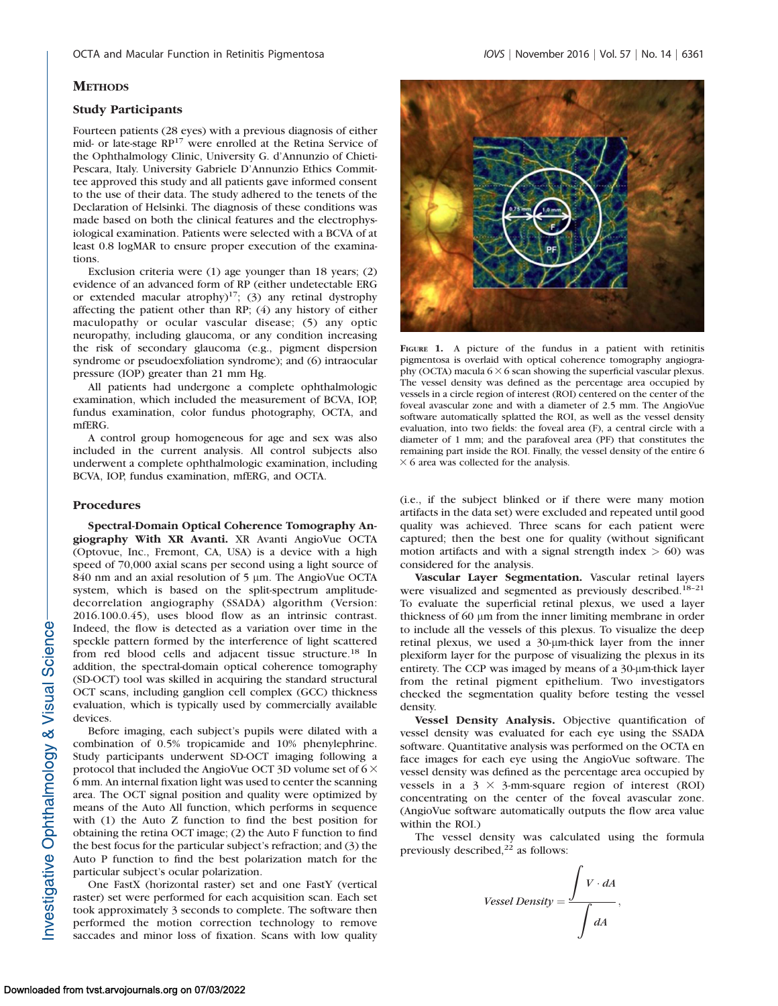# **METHODS**

# Study Participants

Fourteen patients (28 eyes) with a previous diagnosis of either mid- or late-stage RP<sup>17</sup> were enrolled at the Retina Service of the Ophthalmology Clinic, University G. d'Annunzio of Chieti-Pescara, Italy. University Gabriele D'Annunzio Ethics Committee approved this study and all patients gave informed consent to the use of their data. The study adhered to the tenets of the Declaration of Helsinki. The diagnosis of these conditions was made based on both the clinical features and the electrophysiological examination. Patients were selected with a BCVA of at least 0.8 logMAR to ensure proper execution of the examinations.

Exclusion criteria were (1) age younger than 18 years; (2) evidence of an advanced form of RP (either undetectable ERG or extended macular atrophy)<sup>17</sup>; (3) any retinal dystrophy affecting the patient other than RP; (4) any history of either maculopathy or ocular vascular disease; (5) any optic neuropathy, including glaucoma, or any condition increasing the risk of secondary glaucoma (e.g., pigment dispersion syndrome or pseudoexfoliation syndrome); and (6) intraocular pressure (IOP) greater than 21 mm Hg.

All patients had undergone a complete ophthalmologic examination, which included the measurement of BCVA, IOP, fundus examination, color fundus photography, OCTA, and mfERG.

A control group homogeneous for age and sex was also included in the current analysis. All control subjects also underwent a complete ophthalmologic examination, including BCVA, IOP, fundus examination, mfERG, and OCTA.

#### Procedures

Spectral-Domain Optical Coherence Tomography Angiography With XR Avanti. XR Avanti AngioVue OCTA (Optovue, Inc., Fremont, CA, USA) is a device with a high speed of 70,000 axial scans per second using a light source of 840 nm and an axial resolution of 5 µm. The AngioVue OCTA system, which is based on the split-spectrum amplitudedecorrelation angiography (SSADA) algorithm (Version: 2016.100.0.45), uses blood flow as an intrinsic contrast. Indeed, the flow is detected as a variation over time in the speckle pattern formed by the interference of light scattered from red blood cells and adjacent tissue structure.<sup>18</sup> In addition, the spectral-domain optical coherence tomography (SD-OCT) tool was skilled in acquiring the standard structural OCT scans, including ganglion cell complex (GCC) thickness evaluation, which is typically used by commercially available devices.

Before imaging, each subject's pupils were dilated with a combination of 0.5% tropicamide and 10% phenylephrine. Study participants underwent SD-OCT imaging following a protocol that included the AngioVue OCT 3D volume set of  $6 \times$ 6 mm. An internal fixation light was used to center the scanning area. The OCT signal position and quality were optimized by means of the Auto All function, which performs in sequence with (1) the Auto Z function to find the best position for obtaining the retina OCT image; (2) the Auto F function to find the best focus for the particular subject's refraction; and (3) the Auto P function to find the best polarization match for the particular subject's ocular polarization.

One FastX (horizontal raster) set and one FastY (vertical raster) set were performed for each acquisition scan. Each set took approximately 3 seconds to complete. The software then performed the motion correction technology to remove saccades and minor loss of fixation. Scans with low quality



FIGURE 1. A picture of the fundus in a patient with retinitis pigmentosa is overlaid with optical coherence tomography angiography (OCTA) macula  $6 \times 6$  scan showing the superficial vascular plexus. The vessel density was defined as the percentage area occupied by vessels in a circle region of interest (ROI) centered on the center of the foveal avascular zone and with a diameter of 2.5 mm. The AngioVue software automatically splatted the ROI, as well as the vessel density evaluation, into two fields: the foveal area (F), a central circle with a diameter of 1 mm; and the parafoveal area (PF) that constitutes the remaining part inside the ROI. Finally, the vessel density of the entire 6  $\times$  6 area was collected for the analysis.

(i.e., if the subject blinked or if there were many motion artifacts in the data set) were excluded and repeated until good quality was achieved. Three scans for each patient were captured; then the best one for quality (without significant motion artifacts and with a signal strength index  $> 60$ ) was considered for the analysis.

Vascular Layer Segmentation. Vascular retinal layers were visualized and segmented as previously described.<sup>18-21</sup> To evaluate the superficial retinal plexus, we used a layer thickness of 60 lm from the inner limiting membrane in order to include all the vessels of this plexus. To visualize the deep retinal plexus, we used a 30-µm-thick layer from the inner plexiform layer for the purpose of visualizing the plexus in its entirety. The CCP was imaged by means of a 30-µm-thick layer from the retinal pigment epithelium. Two investigators checked the segmentation quality before testing the vessel density.

Vessel Density Analysis. Objective quantification of vessel density was evaluated for each eye using the SSADA software. Quantitative analysis was performed on the OCTA en face images for each eye using the AngioVue software. The vessel density was defined as the percentage area occupied by vessels in a  $3 \times 3$ -mm-square region of interest (ROI) concentrating on the center of the foveal avascular zone. (AngioVue software automatically outputs the flow area value within the ROI.)

The vessel density was calculated using the formula previously described, $22$  as follows:

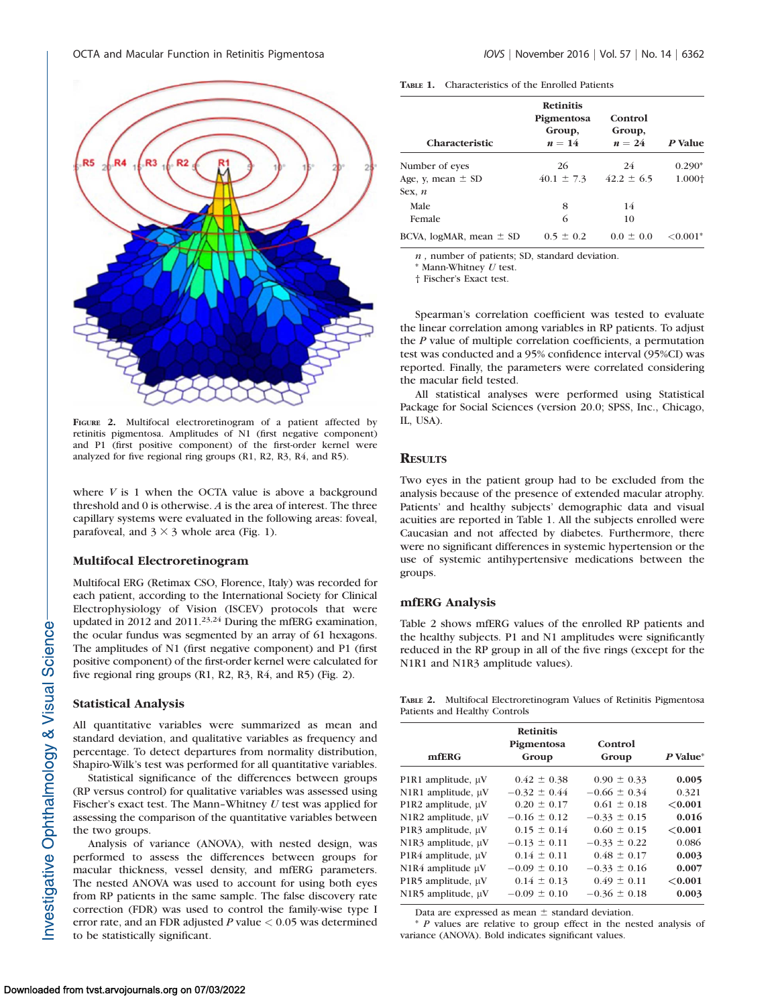

FIGURE 2. Multifocal electroretinogram of a patient affected by retinitis pigmentosa. Amplitudes of N1 (first negative component) and P1 (first positive component) of the first-order kernel were analyzed for five regional ring groups (R1, R2, R3, R4, and R5).

where  $V$  is 1 when the OCTA value is above a background threshold and 0 is otherwise. A is the area of interest. The three capillary systems were evaluated in the following areas: foveal, parafoveal, and  $3 \times 3$  whole area (Fig. 1).

# Multifocal Electroretinogram

Multifocal ERG (Retimax CSO, Florence, Italy) was recorded for each patient, according to the International Society for Clinical Electrophysiology of Vision (ISCEV) protocols that were updated in 2012 and 2011.<sup>23,24</sup> During the mfERG examination, the ocular fundus was segmented by an array of 61 hexagons. The amplitudes of N1 (first negative component) and P1 (first positive component) of the first-order kernel were calculated for five regional ring groups (R1, R2, R3, R4, and R5) (Fig. 2).

# Statistical Analysis

All quantitative variables were summarized as mean and standard deviation, and qualitative variables as frequency and percentage. To detect departures from normality distribution, Shapiro-Wilk's test was performed for all quantitative variables.

Statistical significance of the differences between groups (RP versus control) for qualitative variables was assessed using Fischer's exact test. The Mann-Whitney  $U$  test was applied for assessing the comparison of the quantitative variables between the two groups.

Analysis of variance (ANOVA), with nested design, was performed to assess the differences between groups for macular thickness, vessel density, and mfERG parameters. The nested ANOVA was used to account for using both eyes from RP patients in the same sample. The false discovery rate correction (FDR) was used to control the family-wise type I error rate, and an FDR adjusted  $P$  value  $< 0.05$  was determined to be statistically significant.

| <b>TABLE 1.</b><br>Characteristics of the Enrolled Patients |
|-------------------------------------------------------------|
|-------------------------------------------------------------|

| <b>Characteristic</b>           | <b>Retinitis</b><br>Pigmentosa<br>Group,<br>$n=14$ | Control<br>Group,<br>$n = 24$ | P Value       |
|---------------------------------|----------------------------------------------------|-------------------------------|---------------|
| Number of eyes                  | 26                                                 | 24                            | $0.290*$      |
| Age, y, mean $\pm$ SD<br>Sex, n | $40.1 \pm 7.3$                                     | $42.2 \pm 6.5$                | 1.000+        |
| Male                            | 8                                                  | 14                            |               |
| Female                          | 6                                                  | 10                            |               |
| BCVA, $logMR$ , mean $\pm$ SD   | $0.5 \pm 0.2$                                      | $0.0 \pm 0.0$                 | $\leq 0.001*$ |

 $n$ , number of patients; SD, standard deviation.

 $*$  Mann-Whitney  $U$  test.

† Fischer's Exact test.

Spearman's correlation coefficient was tested to evaluate the linear correlation among variables in RP patients. To adjust the P value of multiple correlation coefficients, a permutation test was conducted and a 95% confidence interval (95%CI) was reported. Finally, the parameters were correlated considering the macular field tested.

All statistical analyses were performed using Statistical Package for Social Sciences (version 20.0; SPSS, Inc., Chicago, IL, USA).

# **RESULTS**

Two eyes in the patient group had to be excluded from the analysis because of the presence of extended macular atrophy. Patients' and healthy subjects' demographic data and visual acuities are reported in Table 1. All the subjects enrolled were Caucasian and not affected by diabetes. Furthermore, there were no significant differences in systemic hypertension or the use of systemic antihypertensive medications between the groups.

#### mfERG Analysis

Table 2 shows mfERG values of the enrolled RP patients and the healthy subjects. P1 and N1 amplitudes were significantly reduced in the RP group in all of the five rings (except for the N1R1 and N1R3 amplitude values).

TABLE 2. Multifocal Electroretinogram Values of Retinitis Pigmentosa Patients and Healthy Controls

| mfERG                  | <b>Retinitis</b><br>Pigmentosa<br>Group | Control<br>Group | P Value* |
|------------------------|-----------------------------------------|------------------|----------|
| P1R1 amplitude, µV     | $0.42 \pm 0.38$                         | $0.90 \pm 0.33$  | 0.005    |
| N1R1 amplitude, µV     | $-0.32 \pm 0.44$                        | $-0.66 \pm 0.34$ | 0.321    |
| P1R2 amplitude, µV     | $0.20 \pm 0.17$                         | $0.61 \pm 0.18$  | < 0.001  |
| N1R2 amplitude, µV     | $-0.16 \pm 0.12$                        | $-0.33 \pm 0.15$ | 0.016    |
| P1R3 amplitude, µV     | $0.15 \pm 0.14$                         | $0.60 \pm 0.15$  | < 0.001  |
| N1R3 amplitude, µV     | $-0.13 \pm 0.11$                        | $-0.33 \pm 0.22$ | 0.086    |
| P1R4 amplitude, µV     | $0.14 \pm 0.11$                         | $0.48 \pm 0.17$  | 0.003    |
| N1R4 amplitude $\mu$ V | $-0.09 \pm 0.10$                        | $-0.33 \pm 0.16$ | 0.007    |
| P1R5 amplitude, µV     | $0.14 \pm 0.13$                         | $0.49 \pm 0.11$  | < 0.001  |
| N1R5 amplitude, µV     | $-0.09 \pm 0.10$                        | $-0.36 \pm 0.18$ | 0.003    |

Data are expressed as mean  $\pm$  standard deviation.

\* P values are relative to group effect in the nested analysis of variance (ANOVA). Bold indicates significant values.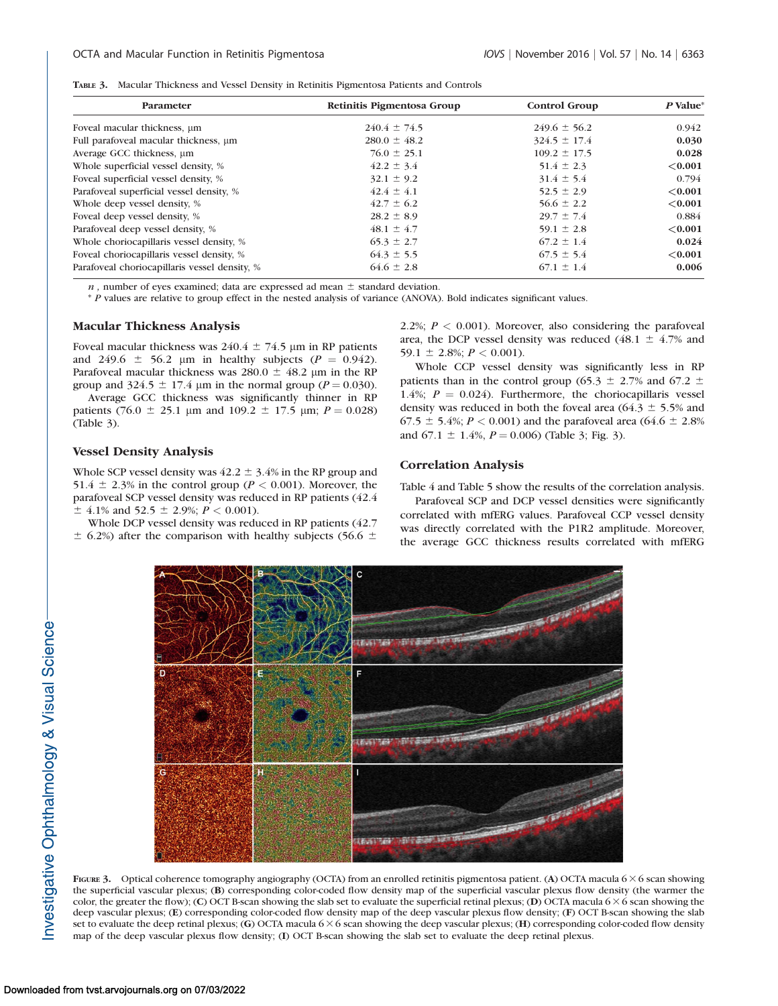|  |  | TABLE 3. Macular Thickness and Vessel Density in Retinitis Pigmentosa Patients and Controls |  |  |  |  |  |  |
|--|--|---------------------------------------------------------------------------------------------|--|--|--|--|--|--|
|--|--|---------------------------------------------------------------------------------------------|--|--|--|--|--|--|

| Parameter                                     | Retinitis Pigmentosa Group | Control Group    | $P$ Value* |
|-----------------------------------------------|----------------------------|------------------|------------|
| Foveal macular thickness, um                  | $240.4 \pm 74.5$           | $249.6 \pm 56.2$ | 0.942      |
| Full parafoveal macular thickness, um         | $280.0 \pm 48.2$           | $324.5 \pm 17.4$ | 0.030      |
| Average GCC thickness, um                     | $76.0 \pm 25.1$            | $109.2 \pm 17.5$ | 0.028      |
| Whole superficial vessel density, %           | $42.2 \pm 3.4$             | $51.4 \pm 2.3$   | ${<}0.001$ |
| Foveal superficial vessel density, %          | $32.1 \pm 9.2$             | $31.4 \pm 5.4$   | 0.794      |
| Parafoveal superficial vessel density, %      | $42.4 \pm 4.1$             | $52.5 \pm 2.9$   | ${<}0.001$ |
| Whole deep vessel density, %                  | $42.7 \pm 6.2$             | $56.6 \pm 2.2$   | ${<}0.001$ |
| Foveal deep vessel density, %                 | $28.2 \pm 8.9$             | $29.7 \pm 7.4$   | 0.884      |
| Parafoveal deep vessel density, %             | $48.1 \pm 4.7$             | 59.1 $\pm$ 2.8   | ${<}0.001$ |
| Whole choriocapillaris vessel density, %      | $65.3 \pm 2.7$             | $67.2 \pm 1.4$   | 0.024      |
| Foveal choriocapillaris vessel density, %     | $64.3 \pm 5.5$             | $67.5 \pm 5.4$   | ${<}0.001$ |
| Parafoveal choriocapillaris vessel density, % | $64.6 \pm 2.8$             | $67.1 \pm 1.4$   | 0.006      |

 $n$ , number of eyes examined; data are expressed ad mean  $\pm$  standard deviation.

\* P values are relative to group effect in the nested analysis of variance (ANOVA). Bold indicates significant values.

## Macular Thickness Analysis

Foveal macular thickness was  $240.4 \pm 74.5$  µm in RP patients and 249.6  $\pm$  56.2 µm in healthy subjects ( $P = 0.942$ ). Parafoveal macular thickness was 280.0  $\pm$  48.2 µm in the RP group and 324.5  $\pm$  17.4 µm in the normal group ( $P = 0.030$ ).

Average GCC thickness was significantly thinner in RP patients (76.0  $\pm$  25.1 µm and 109.2  $\pm$  17.5 µm;  $P = 0.028$ ) (Table 3).

## Vessel Density Analysis

Whole SCP vessel density was  $42.2 \pm 3.4\%$  in the RP group and 51.4  $\pm$  2.3% in the control group ( $P < 0.001$ ). Moreover, the parafoveal SCP vessel density was reduced in RP patients (42.4  $\pm$  4.1% and 52.5  $\pm$  2.9%;  $P < 0.001$ ).

Whole DCP vessel density was reduced in RP patients (42.7  $\pm$  6.2%) after the comparison with healthy subjects (56.6  $\pm$  2.2%;  $P < 0.001$ ). Moreover, also considering the parafoveal area, the DCP vessel density was reduced (48.1  $\pm$  4.7% and 59.1  $\pm$  2.8%;  $P < 0.001$ ).

Whole CCP vessel density was significantly less in RP patients than in the control group (65.3  $\pm$  2.7% and 67.2  $\pm$ 1.4%;  $P = 0.024$ ). Furthermore, the choriocapillaris vessel density was reduced in both the foveal area (64.3  $\pm$  5.5% and 67.5  $\pm$  5.4%; P < 0.001) and the parafoveal area (64.6  $\pm$  2.8%) and  $67.1 \pm 1.4\%$ ,  $P = 0.006$ ) (Table 3; Fig. 3).

# Correlation Analysis

Table 4 and Table 5 show the results of the correlation analysis.

Parafoveal SCP and DCP vessel densities were significantly correlated with mfERG values. Parafoveal CCP vessel density was directly correlated with the P1R2 amplitude. Moreover, the average GCC thickness results correlated with mfERG



FIGURE 3. Optical coherence tomography angiography (OCTA) from an enrolled retinitis pigmentosa patient. (A) OCTA macula  $6 \times 6$  scan showing the superficial vascular plexus; (B) corresponding color-coded flow density map of the superficial vascular plexus flow density (the warmer the color, the greater the flow); (C) OCT B-scan showing the slab set to evaluate the superficial retinal plexus; (D) OCTA macula 6  $\times$  6 scan showing the deep vascular plexus; (E) corresponding color-coded flow density map of the deep vascular plexus flow density; (F) OCT B-scan showing the slab set to evaluate the deep retinal plexus; (G) OCTA macula  $6 \times 6$  scan showing the deep vascular plexus; (H) corresponding color-coded flow density map of the deep vascular plexus flow density; (I) OCT B-scan showing the slab set to evaluate the deep retinal plexus.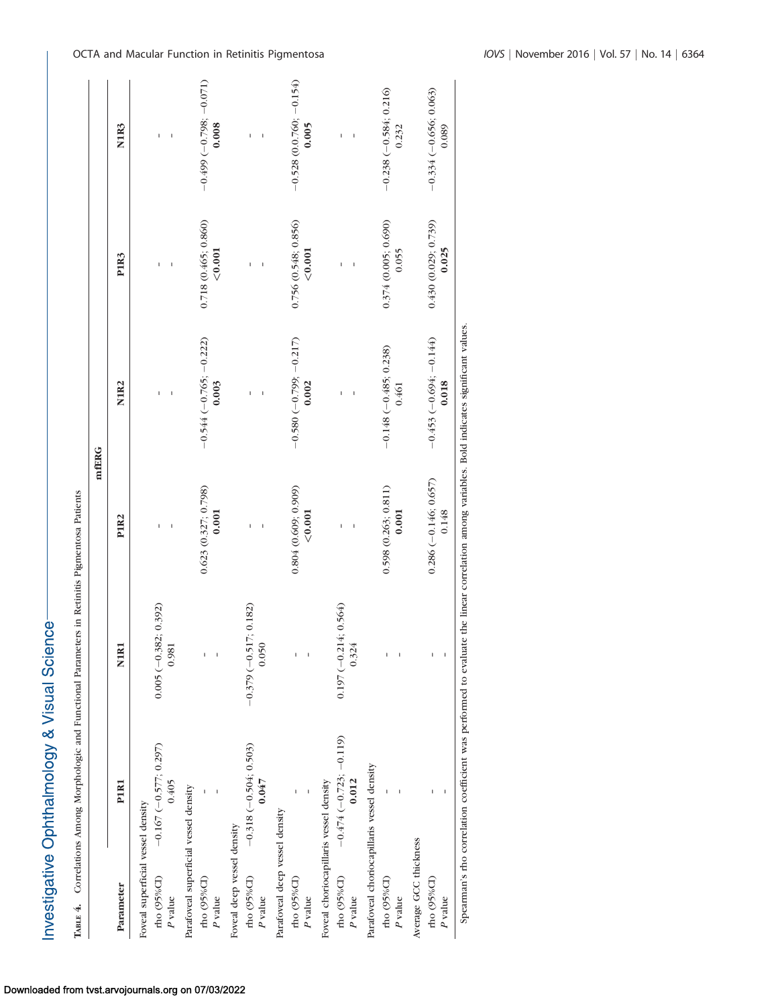Investigative Ophthalmology & Visual Science-

| I                           |
|-----------------------------|
| ł<br>ì<br>l<br>l            |
|                             |
|                             |
| ļ                           |
| I                           |
|                             |
| ï<br>l<br>I<br>l<br>ו<br>ו  |
| ١<br>¢<br>١                 |
| I                           |
| 4.<br>ו<br>ו<br>I<br>Ī<br>ı |

| $-0.528$ (0.0.760; $-0.154$ )<br>$-0.499(-0.798; -0.071)$<br>$-0.238(-0.584; 0.216)$<br>$-0.334(-0.656; 0.063)$<br>0.008<br>0.005<br>N <sub>1R3</sub><br>0.232<br>0.089<br>I<br>I<br>0.718(0.465; 0.860)<br>0.756(0.548; 0.856)<br>0.374(0.005; 0.690)<br>0.430(0.029; 0.739)<br>0.025<br>< 0.001<br>${<}0.001$<br>0.055<br>P1R3<br>I<br>I<br>$-0.580(-0.799; -0.217)$<br>$-0.544$ (-0.765; -0.222)<br>$-0.453(-0.694; -0.144)$<br>$-0.148 (-0.485, 0.238)$<br>0.003<br>0.002<br>0.018<br>N <sub>1R2</sub><br>0.461<br>I<br>I<br>I<br>$0.286 (-0.146; 0.657)$<br>$0.623$ $(0.327; 0.798)$<br>0.804(0.609; 0.909)<br>0.598(0.263; 0.811)<br>0.001<br>${<}0.001$<br>0.001<br>0.148<br>P1R <sub>2</sub><br>I<br>$0.197 (-0.214; 0.564)$<br>$0.005 (-0.382; 0.392)$<br>$-0.379(-0.517; 0.182)$<br>N <sub>1R1</sub><br>0.981<br>0.050<br>0.324<br>$-0.474(-0.723; -0.119)$<br>$-0.167(-0.577; 0.297)$<br>$-0.318(-0.504; 0.503)$<br>Parafoveal choriocapillaris vessel density<br>Foveal choriocapillaris vessel density<br>0.405<br>0.012<br>0.047<br>P <sub>1R1</sub><br>Parafoveal superficial vessel density<br>Foveal superficial vessel density<br>Parafoveal deep vessel density<br>Foveal deep vessel density<br>Average GCC thickness<br>rho (95%CI)<br>rho (95%CI)<br>rho (95% $CD$ )<br>rho (95%CI)<br>rho (95%CI)<br>rho (95%CI)<br>rho (95%CI)<br>Parameter<br>P value<br>$\boldsymbol{P}$ value<br>$P$ value<br>$P$ value<br>$\boldsymbol{P}$ value<br>$P$ value<br>P value | TABLE 4. Correlations Among Morphologic and Functional Parameters in Retinitis Pigmentosa Patients |  | mfERG |  |
|--------------------------------------------------------------------------------------------------------------------------------------------------------------------------------------------------------------------------------------------------------------------------------------------------------------------------------------------------------------------------------------------------------------------------------------------------------------------------------------------------------------------------------------------------------------------------------------------------------------------------------------------------------------------------------------------------------------------------------------------------------------------------------------------------------------------------------------------------------------------------------------------------------------------------------------------------------------------------------------------------------------------------------------------------------------------------------------------------------------------------------------------------------------------------------------------------------------------------------------------------------------------------------------------------------------------------------------------------------------------------------------------------------------------------------------------------------------------------------------|----------------------------------------------------------------------------------------------------|--|-------|--|
|                                                                                                                                                                                                                                                                                                                                                                                                                                                                                                                                                                                                                                                                                                                                                                                                                                                                                                                                                                                                                                                                                                                                                                                                                                                                                                                                                                                                                                                                                      |                                                                                                    |  |       |  |
|                                                                                                                                                                                                                                                                                                                                                                                                                                                                                                                                                                                                                                                                                                                                                                                                                                                                                                                                                                                                                                                                                                                                                                                                                                                                                                                                                                                                                                                                                      |                                                                                                    |  |       |  |
|                                                                                                                                                                                                                                                                                                                                                                                                                                                                                                                                                                                                                                                                                                                                                                                                                                                                                                                                                                                                                                                                                                                                                                                                                                                                                                                                                                                                                                                                                      |                                                                                                    |  |       |  |
|                                                                                                                                                                                                                                                                                                                                                                                                                                                                                                                                                                                                                                                                                                                                                                                                                                                                                                                                                                                                                                                                                                                                                                                                                                                                                                                                                                                                                                                                                      |                                                                                                    |  |       |  |
|                                                                                                                                                                                                                                                                                                                                                                                                                                                                                                                                                                                                                                                                                                                                                                                                                                                                                                                                                                                                                                                                                                                                                                                                                                                                                                                                                                                                                                                                                      |                                                                                                    |  |       |  |
|                                                                                                                                                                                                                                                                                                                                                                                                                                                                                                                                                                                                                                                                                                                                                                                                                                                                                                                                                                                                                                                                                                                                                                                                                                                                                                                                                                                                                                                                                      |                                                                                                    |  |       |  |
|                                                                                                                                                                                                                                                                                                                                                                                                                                                                                                                                                                                                                                                                                                                                                                                                                                                                                                                                                                                                                                                                                                                                                                                                                                                                                                                                                                                                                                                                                      |                                                                                                    |  |       |  |
|                                                                                                                                                                                                                                                                                                                                                                                                                                                                                                                                                                                                                                                                                                                                                                                                                                                                                                                                                                                                                                                                                                                                                                                                                                                                                                                                                                                                                                                                                      |                                                                                                    |  |       |  |
|                                                                                                                                                                                                                                                                                                                                                                                                                                                                                                                                                                                                                                                                                                                                                                                                                                                                                                                                                                                                                                                                                                                                                                                                                                                                                                                                                                                                                                                                                      |                                                                                                    |  |       |  |
|                                                                                                                                                                                                                                                                                                                                                                                                                                                                                                                                                                                                                                                                                                                                                                                                                                                                                                                                                                                                                                                                                                                                                                                                                                                                                                                                                                                                                                                                                      |                                                                                                    |  |       |  |
|                                                                                                                                                                                                                                                                                                                                                                                                                                                                                                                                                                                                                                                                                                                                                                                                                                                                                                                                                                                                                                                                                                                                                                                                                                                                                                                                                                                                                                                                                      |                                                                                                    |  |       |  |
|                                                                                                                                                                                                                                                                                                                                                                                                                                                                                                                                                                                                                                                                                                                                                                                                                                                                                                                                                                                                                                                                                                                                                                                                                                                                                                                                                                                                                                                                                      |                                                                                                    |  |       |  |
|                                                                                                                                                                                                                                                                                                                                                                                                                                                                                                                                                                                                                                                                                                                                                                                                                                                                                                                                                                                                                                                                                                                                                                                                                                                                                                                                                                                                                                                                                      |                                                                                                    |  |       |  |
|                                                                                                                                                                                                                                                                                                                                                                                                                                                                                                                                                                                                                                                                                                                                                                                                                                                                                                                                                                                                                                                                                                                                                                                                                                                                                                                                                                                                                                                                                      |                                                                                                    |  |       |  |
|                                                                                                                                                                                                                                                                                                                                                                                                                                                                                                                                                                                                                                                                                                                                                                                                                                                                                                                                                                                                                                                                                                                                                                                                                                                                                                                                                                                                                                                                                      |                                                                                                    |  |       |  |
|                                                                                                                                                                                                                                                                                                                                                                                                                                                                                                                                                                                                                                                                                                                                                                                                                                                                                                                                                                                                                                                                                                                                                                                                                                                                                                                                                                                                                                                                                      |                                                                                                    |  |       |  |
|                                                                                                                                                                                                                                                                                                                                                                                                                                                                                                                                                                                                                                                                                                                                                                                                                                                                                                                                                                                                                                                                                                                                                                                                                                                                                                                                                                                                                                                                                      |                                                                                                    |  |       |  |
|                                                                                                                                                                                                                                                                                                                                                                                                                                                                                                                                                                                                                                                                                                                                                                                                                                                                                                                                                                                                                                                                                                                                                                                                                                                                                                                                                                                                                                                                                      |                                                                                                    |  |       |  |
|                                                                                                                                                                                                                                                                                                                                                                                                                                                                                                                                                                                                                                                                                                                                                                                                                                                                                                                                                                                                                                                                                                                                                                                                                                                                                                                                                                                                                                                                                      |                                                                                                    |  |       |  |
|                                                                                                                                                                                                                                                                                                                                                                                                                                                                                                                                                                                                                                                                                                                                                                                                                                                                                                                                                                                                                                                                                                                                                                                                                                                                                                                                                                                                                                                                                      |                                                                                                    |  |       |  |
|                                                                                                                                                                                                                                                                                                                                                                                                                                                                                                                                                                                                                                                                                                                                                                                                                                                                                                                                                                                                                                                                                                                                                                                                                                                                                                                                                                                                                                                                                      |                                                                                                    |  |       |  |
|                                                                                                                                                                                                                                                                                                                                                                                                                                                                                                                                                                                                                                                                                                                                                                                                                                                                                                                                                                                                                                                                                                                                                                                                                                                                                                                                                                                                                                                                                      |                                                                                                    |  |       |  |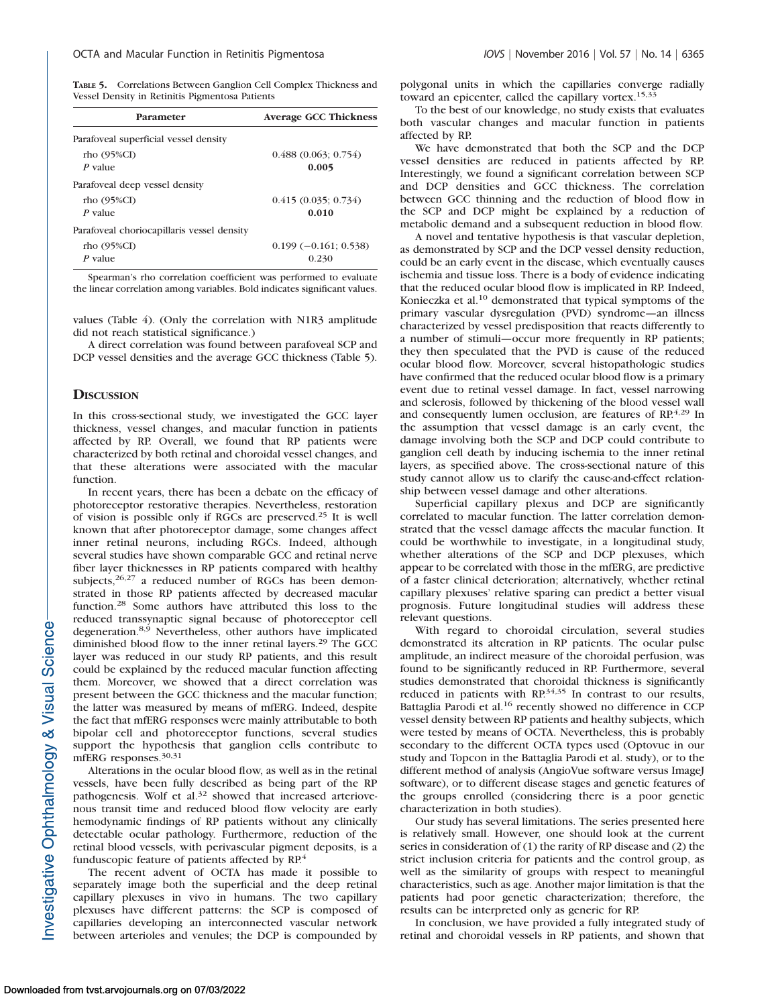TABLE 5. Correlations Between Ganglion Cell Complex Thickness and Vessel Density in Retinitis Pigmentosa Patients

| Parameter                                  | <b>Average GCC Thickness</b> |
|--------------------------------------------|------------------------------|
| Parafoveal superficial vessel density      |                              |
| rho $(95\%CI)$                             | 0.488(0.063; 0.754)          |
| $P$ value                                  | 0.005                        |
| Parafoveal deep vessel density             |                              |
| rho $(95\%CI)$                             | 0.415(0.035; 0.734)          |
| $P$ value                                  | 0.010                        |
| Parafoveal choriocapillaris vessel density |                              |
| rho $(95\%CI)$                             | $0.199 (-0.161; 0.538)$      |
| $P$ value                                  | 0.230                        |

Spearman's rho correlation coefficient was performed to evaluate the linear correlation among variables. Bold indicates significant values.

values (Table 4). (Only the correlation with N1R3 amplitude did not reach statistical significance.)

A direct correlation was found between parafoveal SCP and DCP vessel densities and the average GCC thickness (Table 5).

#### **DISCUSSION**

In this cross-sectional study, we investigated the GCC layer thickness, vessel changes, and macular function in patients affected by RP. Overall, we found that RP patients were characterized by both retinal and choroidal vessel changes, and that these alterations were associated with the macular function.

In recent years, there has been a debate on the efficacy of photoreceptor restorative therapies. Nevertheless, restoration of vision is possible only if RGCs are preserved.25 It is well known that after photoreceptor damage, some changes affect inner retinal neurons, including RGCs. Indeed, although several studies have shown comparable GCC and retinal nerve fiber layer thicknesses in RP patients compared with healthy subjects,<sup>26,27</sup> a reduced number of RGCs has been demonstrated in those RP patients affected by decreased macular function.<sup>28</sup> Some authors have attributed this loss to the reduced transsynaptic signal because of photoreceptor cell degeneration.8,9 Nevertheless, other authors have implicated diminished blood flow to the inner retinal layers.<sup>29</sup> The GCC layer was reduced in our study RP patients, and this result could be explained by the reduced macular function affecting them. Moreover, we showed that a direct correlation was present between the GCC thickness and the macular function; the latter was measured by means of mfERG. Indeed, despite the fact that mfERG responses were mainly attributable to both bipolar cell and photoreceptor functions, several studies support the hypothesis that ganglion cells contribute to mfERG responses.<sup>30,31</sup>

Alterations in the ocular blood flow, as well as in the retinal vessels, have been fully described as being part of the RP pathogenesis. Wolf et al.<sup>32</sup> showed that increased arteriovenous transit time and reduced blood flow velocity are early hemodynamic findings of RP patients without any clinically detectable ocular pathology. Furthermore, reduction of the retinal blood vessels, with perivascular pigment deposits, is a funduscopic feature of patients affected by RP.<sup>4</sup>

The recent advent of OCTA has made it possible to separately image both the superficial and the deep retinal capillary plexuses in vivo in humans. The two capillary plexuses have different patterns: the SCP is composed of capillaries developing an interconnected vascular network between arterioles and venules; the DCP is compounded by

polygonal units in which the capillaries converge radially toward an epicenter, called the capillary vortex.<sup>15,33</sup>

To the best of our knowledge, no study exists that evaluates both vascular changes and macular function in patients affected by RP.

We have demonstrated that both the SCP and the DCP vessel densities are reduced in patients affected by RP. Interestingly, we found a significant correlation between SCP and DCP densities and GCC thickness. The correlation between GCC thinning and the reduction of blood flow in the SCP and DCP might be explained by a reduction of metabolic demand and a subsequent reduction in blood flow.

A novel and tentative hypothesis is that vascular depletion, as demonstrated by SCP and the DCP vessel density reduction, could be an early event in the disease, which eventually causes ischemia and tissue loss. There is a body of evidence indicating that the reduced ocular blood flow is implicated in RP. Indeed, Konieczka et al.<sup>10</sup> demonstrated that typical symptoms of the primary vascular dysregulation (PVD) syndrome—an illness characterized by vessel predisposition that reacts differently to a number of stimuli—occur more frequently in RP patients; they then speculated that the PVD is cause of the reduced ocular blood flow. Moreover, several histopathologic studies have confirmed that the reduced ocular blood flow is a primary event due to retinal vessel damage. In fact, vessel narrowing and sclerosis, followed by thickening of the blood vessel wall and consequently lumen occlusion, are features of RP.<sup>4,29</sup> In the assumption that vessel damage is an early event, the damage involving both the SCP and DCP could contribute to ganglion cell death by inducing ischemia to the inner retinal layers, as specified above. The cross-sectional nature of this study cannot allow us to clarify the cause-and-effect relationship between vessel damage and other alterations.

Superficial capillary plexus and DCP are significantly correlated to macular function. The latter correlation demonstrated that the vessel damage affects the macular function. It could be worthwhile to investigate, in a longitudinal study, whether alterations of the SCP and DCP plexuses, which appear to be correlated with those in the mfERG, are predictive of a faster clinical deterioration; alternatively, whether retinal capillary plexuses' relative sparing can predict a better visual prognosis. Future longitudinal studies will address these relevant questions.

With regard to choroidal circulation, several studies demonstrated its alteration in RP patients. The ocular pulse amplitude, an indirect measure of the choroidal perfusion, was found to be significantly reduced in RP. Furthermore, several studies demonstrated that choroidal thickness is significantly reduced in patients with RP.<sup>34,35</sup> In contrast to our results, Battaglia Parodi et al.<sup>16</sup> recently showed no difference in CCP vessel density between RP patients and healthy subjects, which were tested by means of OCTA. Nevertheless, this is probably secondary to the different OCTA types used (Optovue in our study and Topcon in the Battaglia Parodi et al. study), or to the different method of analysis (AngioVue software versus ImageJ software), or to different disease stages and genetic features of the groups enrolled (considering there is a poor genetic characterization in both studies).

Our study has several limitations. The series presented here is relatively small. However, one should look at the current series in consideration of (1) the rarity of RP disease and (2) the strict inclusion criteria for patients and the control group, as well as the similarity of groups with respect to meaningful characteristics, such as age. Another major limitation is that the patients had poor genetic characterization; therefore, the results can be interpreted only as generic for RP.

In conclusion, we have provided a fully integrated study of retinal and choroidal vessels in RP patients, and shown that